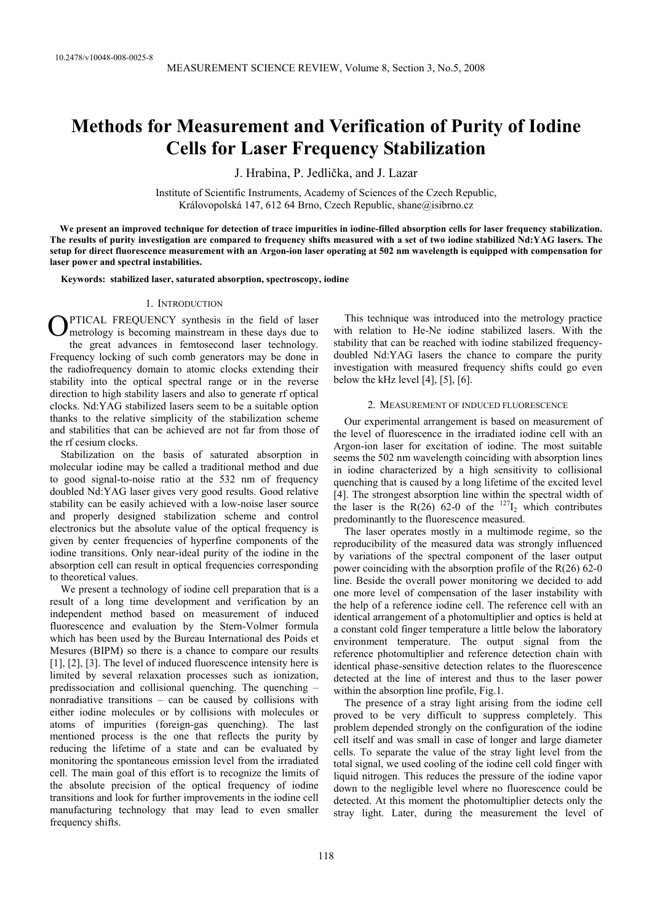# **Methods for Measurement and Verification of Purity of Iodine Cells for Laser Frequency Stabilization**

J. Hrabina, P. Jedlička, and J. Lazar

Institute of Scientific Instruments, Academy of Sciences of the Czech Republic, Královopolská 147, 612 64 Brno, Czech Republic, shane@isibrno.cz

 **We present an improved technique for detection of trace impurities in iodine-filled absorption cells for laser frequency stabilization. The results of purity investigation are compared to frequency shifts measured with a set of two iodine stabilized Nd:YAG lasers. The setup for direct fluorescence measurement with an Argon-ion laser operating at 502 nm wavelength is equipped with compensation for laser power and spectral instabilities.** 

**Keywords: stabilized laser, saturated absorption, spectroscopy, iodine**

## 1. INTRODUCTION

PTICAL FREQUENCY synthesis in the field of laser **O**PTICAL FREQUENCY synthesis in the field of laser metrology is becoming mainstream in these days due to the great advances in femtosecond laser technology. Frequency locking of such comb generators may be done in the radiofrequency domain to atomic clocks extending their stability into the optical spectral range or in the reverse direction to high stability lasers and also to generate rf optical clocks. Nd:YAG stabilized lasers seem to be a suitable option thanks to the relative simplicity of the stabilization scheme and stabilities that can be achieved are not far from those of the rf cesium clocks.

Stabilization on the basis of saturated absorption in molecular iodine may be called a traditional method and due to good signal-to-noise ratio at the 532 nm of frequency doubled Nd:YAG laser gives very good results. Good relative stability can be easily achieved with a low-noise laser source and properly designed stabilization scheme and control electronics but the absolute value of the optical frequency is given by center frequencies of hyperfine components of the iodine transitions. Only near-ideal purity of the iodine in the absorption cell can result in optical frequencies corresponding to theoretical values.

We present a technology of iodine cell preparation that is a result of a long time development and verification by an independent method based on measurement of induced fluorescence and evaluation by the Stern-Volmer formula which has been used by the Bureau International des Poids et Mesures (BIPM) so there is a chance to compare our results [1], [2], [3]. The level of induced fluorescence intensity here is limited by several relaxation processes such as ionization, predissociation and collisional quenching. The quenching – nonradiative transitions – can be caused by collisions with either iodine molecules or by collisions with molecules or atoms of impurities (foreign-gas quenching). The last mentioned process is the one that reflects the purity by reducing the lifetime of a state and can be evaluated by monitoring the spontaneous emission level from the irradiated cell. The main goal of this effort is to recognize the limits of the absolute precision of the optical frequency of iodine transitions and look for further improvements in the iodine cell manufacturing technology that may lead to even smaller frequency shifts.

This technique was introduced into the metrology practice with relation to He-Ne iodine stabilized lasers. With the stability that can be reached with iodine stabilized frequencydoubled Nd:YAG lasers the chance to compare the purity investigation with measured frequency shifts could go even below the kHz level  $[4]$ ,  $[5]$ ,  $[6]$ .

#### 2. MEASUREMENT OF INDUCED FLUORESCENCE

Our experimental arrangement is based on measurement of the level of fluorescence in the irradiated iodine cell with an Argon-ion laser for excitation of iodine. The most suitable seems the 502 nm wavelength coinciding with absorption lines in iodine characterized by a high sensitivity to collisional quenching that is caused by a long lifetime of the excited level [4]. The strongest absorption line within the spectral width of the laser is the R(26) 62-0 of the  $^{127}I_2$  which contributes predominantly to the fluorescence measured.

The laser operates mostly in a multimode regime, so the reproducibility of the measured data was strongly influenced by variations of the spectral component of the laser output power coinciding with the absorption profile of the R(26) 62-0 line. Beside the overall power monitoring we decided to add one more level of compensation of the laser instability with the help of a reference iodine cell. The reference cell with an identical arrangement of a photomultiplier and optics is held at a constant cold finger temperature a little below the laboratory environment temperature. The output signal from the reference photomultiplier and reference detection chain with identical phase-sensitive detection relates to the fluorescence detected at the line of interest and thus to the laser power within the absorption line profile, Fig.1.

The presence of a stray light arising from the iodine cell proved to be very difficult to suppress completely. This problem depended strongly on the configuration of the iodine cell itself and was small in case of longer and large diameter cells. To separate the value of the stray light level from the total signal, we used cooling of the iodine cell cold finger with liquid nitrogen. This reduces the pressure of the iodine vapor down to the negligible level where no fluorescence could be detected. At this moment the photomultiplier detects only the stray light. Later, during the measurement the level of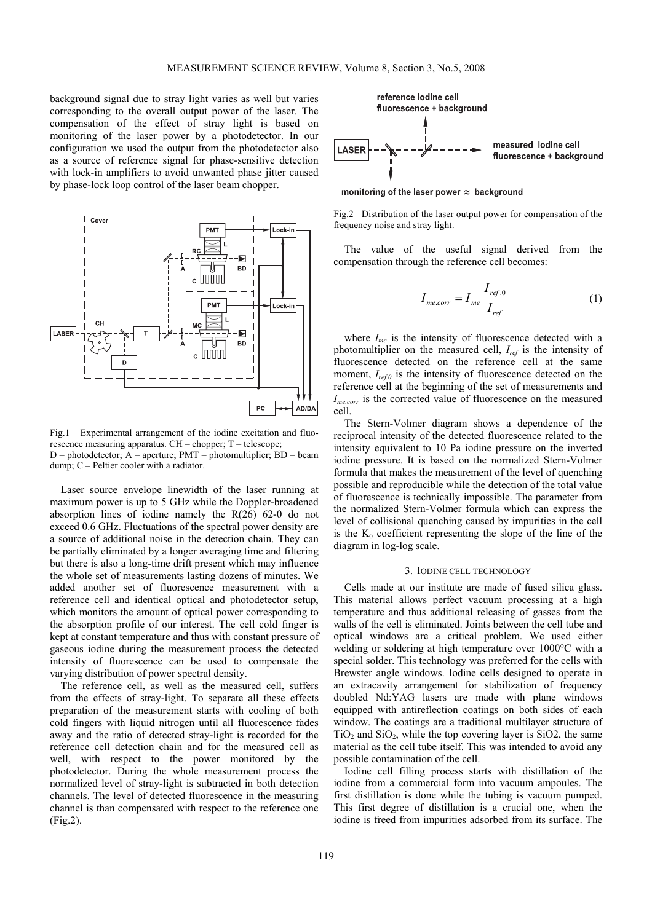background signal due to stray light varies as well but varies corresponding to the overall output power of the laser. The compensation of the effect of stray light is based on monitoring of the laser power by a photodetector. In our configuration we used the output from the photodetector also as a source of reference signal for phase-sensitive detection with lock-in amplifiers to avoid unwanted phase jitter caused by phase-lock loop control of the laser beam chopper.



Fig.1 Experimental arrangement of the iodine excitation and fluorescence measuring apparatus. CH – chopper; T – telescope; D – photodetector; A – aperture; PMT – photomultiplier; BD – beam

dump; C – Peltier cooler with a radiator.

Laser source envelope linewidth of the laser running at maximum power is up to 5 GHz while the Doppler-broadened absorption lines of iodine namely the R(26) 62-0 do not exceed 0.6 GHz. Fluctuations of the spectral power density are a source of additional noise in the detection chain. They can be partially eliminated by a longer averaging time and filtering but there is also a long-time drift present which may influence the whole set of measurements lasting dozens of minutes. We added another set of fluorescence measurement with a reference cell and identical optical and photodetector setup, which monitors the amount of optical power corresponding to the absorption profile of our interest. The cell cold finger is kept at constant temperature and thus with constant pressure of gaseous iodine during the measurement process the detected intensity of fluorescence can be used to compensate the varying distribution of power spectral density.

The reference cell, as well as the measured cell, suffers from the effects of stray-light. To separate all these effects preparation of the measurement starts with cooling of both cold fingers with liquid nitrogen until all fluorescence fades away and the ratio of detected stray-light is recorded for the reference cell detection chain and for the measured cell as well, with respect to the power monitored by the photodetector. During the whole measurement process the normalized level of stray-light is subtracted in both detection channels. The level of detected fluorescence in the measuring channel is than compensated with respect to the reference one (Fig.2).



monitoring of the laser power  $\approx$  background

Fig.2 Distribution of the laser output power for compensation of the frequency noise and stray light.

The value of the useful signal derived from the compensation through the reference cell becomes:

$$
I_{me.corr} = I_{me} \frac{I_{ref.0}}{I_{ref}}
$$
 (1)

where  $I_{me}$  is the intensity of fluorescence detected with a photomultiplier on the measured cell, *Iref* is the intensity of fluorescence detected on the reference cell at the same moment,  $I_{ref,0}$  is the intensity of fluorescence detected on the reference cell at the beginning of the set of measurements and *Ime.corr* is the corrected value of fluorescence on the measured cell.

The Stern-Volmer diagram shows a dependence of the reciprocal intensity of the detected fluorescence related to the intensity equivalent to 10 Pa iodine pressure on the inverted iodine pressure. It is based on the normalized Stern-Volmer formula that makes the measurement of the level of quenching possible and reproducible while the detection of the total value of fluorescence is technically impossible. The parameter from the normalized Stern-Volmer formula which can express the level of collisional quenching caused by impurities in the cell is the  $K_0$  coefficient representing the slope of the line of the diagram in log-log scale.

#### 3. IODINE CELL TECHNOLOGY

Cells made at our institute are made of fused silica glass. This material allows perfect vacuum processing at a high temperature and thus additional releasing of gasses from the walls of the cell is eliminated. Joints between the cell tube and optical windows are a critical problem. We used either welding or soldering at high temperature over 1000°C with a special solder. This technology was preferred for the cells with Brewster angle windows. Iodine cells designed to operate in an extracavity arrangement for stabilization of frequency doubled Nd:YAG lasers are made with plane windows equipped with antireflection coatings on both sides of each window. The coatings are a traditional multilayer structure of  $TiO<sub>2</sub>$  and  $SiO<sub>2</sub>$ , while the top covering layer is  $SiO<sub>2</sub>$ , the same material as the cell tube itself. This was intended to avoid any possible contamination of the cell.

Iodine cell filling process starts with distillation of the iodine from a commercial form into vacuum ampoules. The first distillation is done while the tubing is vacuum pumped. This first degree of distillation is a crucial one, when the iodine is freed from impurities adsorbed from its surface. The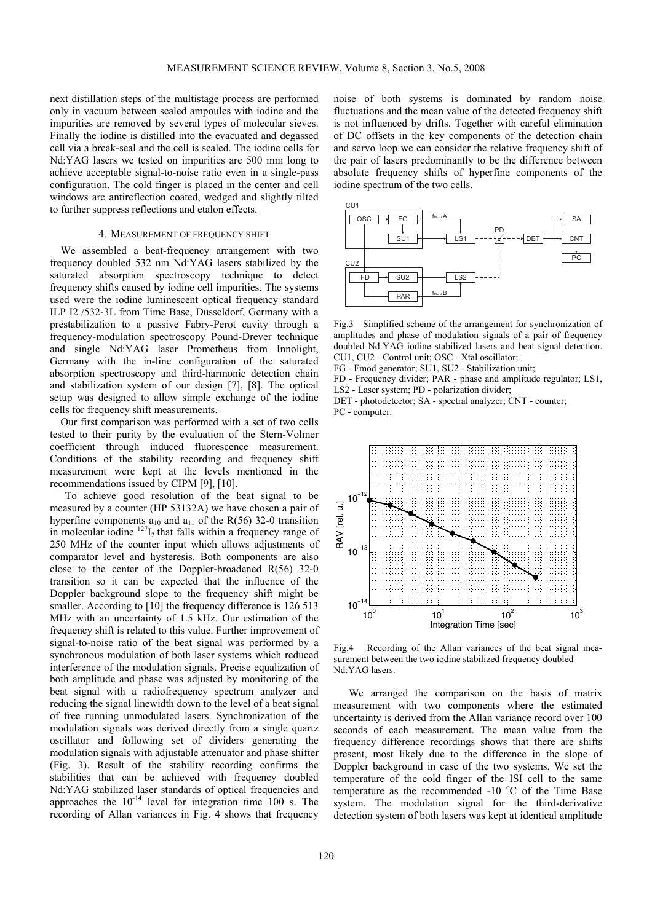next distillation steps of the multistage process are performed only in vacuum between sealed ampoules with iodine and the impurities are removed by several types of molecular sieves. Finally the iodine is distilled into the evacuated and degassed cell via a break-seal and the cell is sealed. The iodine cells for Nd:YAG lasers we tested on impurities are 500 mm long to achieve acceptable signal-to-noise ratio even in a single-pass configuration. The cold finger is placed in the center and cell windows are antireflection coated, wedged and slightly tilted to further suppress reflections and etalon effects.

## 4. MEASUREMENT OF FREQUENCY SHIFT

We assembled a beat-frequency arrangement with two frequency doubled 532 nm Nd:YAG lasers stabilized by the saturated absorption spectroscopy technique to detect frequency shifts caused by iodine cell impurities. The systems used were the iodine luminescent optical frequency standard ILP I2 /532-3L from Time Base, Düsseldorf, Germany with a prestabilization to a passive Fabry-Perot cavity through a frequency-modulation spectroscopy Pound-Drever technique and single Nd:YAG laser Prometheus from Innolight, Germany with the in-line configuration of the saturated absorption spectroscopy and third-harmonic detection chain and stabilization system of our design [7], [8]. The optical setup was designed to allow simple exchange of the iodine cells for frequency shift measurements.

Our first comparison was performed with a set of two cells tested to their purity by the evaluation of the Stern-Volmer coefficient through induced fluorescence measurement. Conditions of the stability recording and frequency shift measurement were kept at the levels mentioned in the recommendations issued by CIPM [9], [10].

To achieve good resolution of the beat signal to be measured by a counter (HP 53132A) we have chosen a pair of hyperfine components  $a_{10}$  and  $a_{11}$  of the R(56) 32-0 transition in molecular iodine  $127I_2$  that falls within a frequency range of 250 MHz of the counter input which allows adjustments of comparator level and hysteresis. Both components are also close to the center of the Doppler-broadened R(56) 32-0 transition so it can be expected that the influence of the Doppler background slope to the frequency shift might be smaller. According to [10] the frequency difference is 126.513 MHz with an uncertainty of 1.5 kHz. Our estimation of the frequency shift is related to this value. Further improvement of signal-to-noise ratio of the beat signal was performed by a synchronous modulation of both laser systems which reduced interference of the modulation signals. Precise equalization of both amplitude and phase was adjusted by monitoring of the beat signal with a radiofrequency spectrum analyzer and reducing the signal linewidth down to the level of a beat signal of free running unmodulated lasers. Synchronization of the modulation signals was derived directly from a single quartz oscillator and following set of dividers generating the modulation signals with adjustable attenuator and phase shifter (Fig. 3). Result of the stability recording confirms the stabilities that can be achieved with frequency doubled Nd:YAG stabilized laser standards of optical frequencies and approaches the  $10^{-14}$  level for integration time 100 s. The recording of Allan variances in Fig. 4 shows that frequency

noise of both systems is dominated by random noise fluctuations and the mean value of the detected frequency shift is not influenced by drifts. Together with careful elimination of DC offsets in the key components of the detection chain and servo loop we can consider the relative frequency shift of the pair of lasers predominantly to be the difference between absolute frequency shifts of hyperfine components of the iodine spectrum of the two cells.



Fig.3 Simplified scheme of the arrangement for synchronization of amplitudes and phase of modulation signals of a pair of frequency doubled Nd:YAG iodine stabilized lasers and beat signal detection. CU1, CU2 - Control unit; OSC - Xtal oscillator;

FG - Fmod generator; SU1, SU2 - Stabilization unit;

FD - Frequency divider; PAR - phase and amplitude regulator; LS1,

LS2 - Laser system; PD - polarization divider;

DET - photodetector; SA - spectral analyzer; CNT - counter; PC - computer.



Fig.4 Recording of the Allan variances of the beat signal measurement between the two iodine stabilized frequency doubled Nd:YAG lasers.

We arranged the comparison on the basis of matrix measurement with two components where the estimated uncertainty is derived from the Allan variance record over 100 seconds of each measurement. The mean value from the frequency difference recordings shows that there are shifts present, most likely due to the difference in the slope of Doppler background in case of the two systems. We set the temperature of the cold finger of the ISI cell to the same temperature as the recommended  $-10$  °C of the Time Base system. The modulation signal for the third-derivative detection system of both lasers was kept at identical amplitude